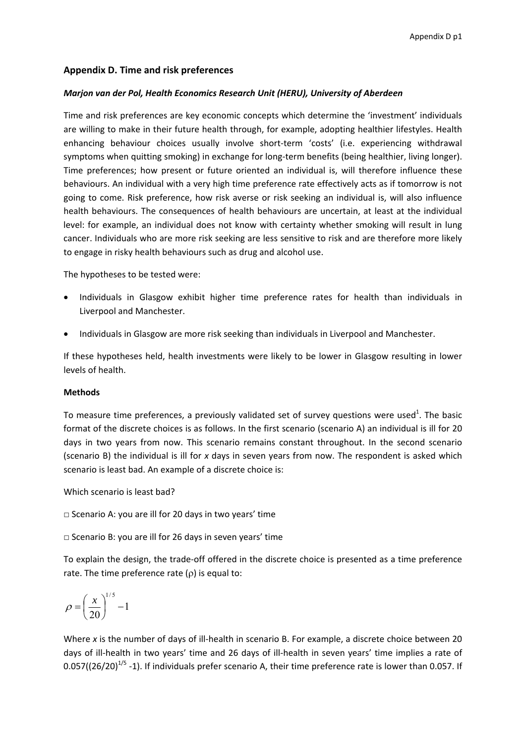# **Appendix D. Time and risk preferences**

# *Marjon van der Pol, Health Economics Research Unit (HERU), University of Aberdeen*

Time and risk preferences are key economic concepts which determine the 'investment' individuals are willing to make in their future health through, for example, adopting healthier lifestyles. Health enhancing behaviour choices usually involve short-term 'costs' (i.e. experiencing withdrawal symptoms when quitting smoking) in exchange for long-term benefits (being healthier, living longer). Time preferences; how present or future oriented an individual is, will therefore influence these behaviours. An individual with a very high time preference rate effectively acts as if tomorrow is not going to come. Risk preference, how risk averse or risk seeking an individual is, will also influence health behaviours. The consequences of health behaviours are uncertain, at least at the individual level: for example, an individual does not know with certainty whether smoking will result in lung cancer. Individuals who are more risk seeking are less sensitive to risk and are therefore more likely to engage in risky health behaviours such as drug and alcohol use.

The hypotheses to be tested were:

- Individuals in Glasgow exhibit higher time preference rates for health than individuals in Liverpool and Manchester.
- Individuals in Glasgow are more risk seeking than individuals in Liverpool and Manchester.

If these hypotheses held, health investments were likely to be lower in Glasgow resulting in lower levels of health.

# **Methods**

To measure time preferences, a previously validated set of survey questions were used<sup>1</sup>. The basic format of the discrete choices is as follows. In the first scenario (scenario A) an individual is ill for 20 days in two years from now. This scenario remains constant throughout. In the second scenario (scenario B) the individual is ill for *x* days in seven years from now. The respondent is asked which scenario is least bad. An example of a discrete choice is:

Which scenario is least bad?

□ Scenario A: you are ill for 20 days in two years' time

 $\Box$  Scenario B: you are ill for 26 days in seven years' time

To explain the design, the trade‐off offered in the discrete choice is presented as a time preference rate. The time preference rate  $(\rho)$  is equal to:

$$
\rho = \left(\frac{x}{20}\right)^{1/5} - 1
$$

Where *x* is the number of days of ill-health in scenario B. For example, a discrete choice between 20 days of ill-health in two years' time and 26 days of ill-health in seven years' time implies a rate of  $0.057$ ((26/20)<sup>1/5</sup> -1). If individuals prefer scenario A, their time preference rate is lower than 0.057. If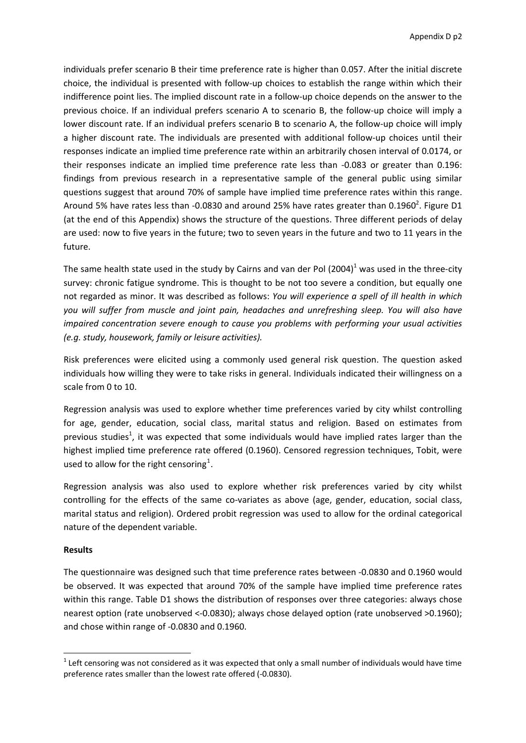individuals prefer scenario B their time preference rate is higher than 0.057. After the initial discrete choice, the individual is presented with follow‐up choices to establish the range within which their indifference point lies. The implied discount rate in a follow‐up choice depends on the answer to the previous choice. If an individual prefers scenario A to scenario B, the follow‐up choice will imply a lower discount rate. If an individual prefers scenario B to scenario A, the follow‐up choice will imply a higher discount rate. The individuals are presented with additional follow-up choices until their responses indicate an implied time preference rate within an arbitrarily chosen interval of 0.0174, or their responses indicate an implied time preference rate less than ‐0.083 or greater than 0.196: findings from previous research in a representative sample of the general public using similar questions suggest that around 70% of sample have implied time preference rates within this range. Around 5% have rates less than -0.0830 and around 25% have rates greater than 0.1960<sup>2</sup>. Figure D1 (at the end of this Appendix) shows the structure of the questions. Three different periods of delay are used: now to five years in the future; two to seven years in the future and two to 11 years in the future.

The same health state used in the study by Cairns and van der Pol  $(2004)^1$  was used in the three-city survey: chronic fatigue syndrome. This is thought to be not too severe a condition, but equally one not regarded as minor. It was described as follows: *You will experience a spell of ill health in which you will suffer from muscle and joint pain, headaches and unrefreshing sleep. You will also have impaired concentration severe enough to cause you problems with performing your usual activities (e.g. study, housework, family or leisure activities).*

Risk preferences were elicited using a commonly used general risk question. The question asked individuals how willing they were to take risks in general. Individuals indicated their willingness on a scale from 0 to 10.

Regression analysis was used to explore whether time preferences varied by city whilst controlling for age, gender, education, social class, marital status and religion. Based on estimates from previous studies<sup>1</sup>, it was expected that some individuals would have implied rates larger than the highest implied time preference rate offered (0.1960). Censored regression techniques, Tobit, were used to allow for the right censoring<sup>[1](#page-1-0)</sup>.

Regression analysis was also used to explore whether risk preferences varied by city whilst controlling for the effects of the same co-variates as above (age, gender, education, social class, marital status and religion). Ordered probit regression was used to allow for the ordinal categorical nature of the dependent variable.

# **Results**

1

The questionnaire was designed such that time preference rates between ‐0.0830 and 0.1960 would be observed. It was expected that around 70% of the sample have implied time preference rates within this range. Table D1 shows the distribution of responses over three categories: always chose nearest option (rate unobserved <‐0.0830); always chose delayed option (rate unobserved >0.1960); and chose within range of ‐0.0830 and 0.1960.

<span id="page-1-0"></span> $1$  Left censoring was not considered as it was expected that only a small number of individuals would have time preference rates smaller than the lowest rate offered (‐0.0830).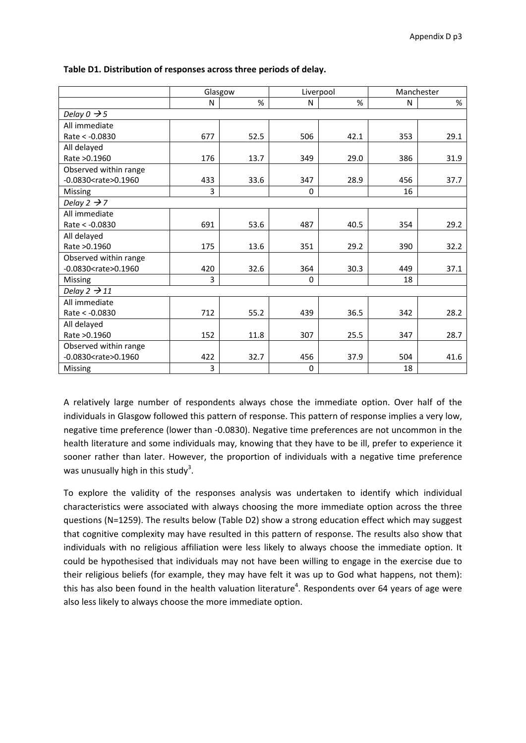|                                             | Glasgow |      | Liverpool |      | Manchester |      |
|---------------------------------------------|---------|------|-----------|------|------------|------|
|                                             | N       | %    | N         | %    | N          | %    |
| Delay $0 \rightarrow 5$                     |         |      |           |      |            |      |
| All immediate                               |         |      |           |      |            |      |
| Rate < - 0.0830                             | 677     | 52.5 | 506       | 42.1 | 353        | 29.1 |
| All delayed                                 |         |      |           |      |            |      |
| Rate > 0.1960                               | 176     | 13.7 | 349       | 29.0 | 386        | 31.9 |
| Observed within range                       |         |      |           |      |            |      |
| $-0.0830$ <rate> <math>0.1960</math></rate> | 433     | 33.6 | 347       | 28.9 | 456        | 37.7 |
| Missing                                     | 3       |      | 0         |      | 16         |      |
| Delay 2 $\rightarrow$ 7                     |         |      |           |      |            |      |
| All immediate                               |         |      |           |      |            |      |
| Rate < -0.0830                              | 691     | 53.6 | 487       | 40.5 | 354        | 29.2 |
| All delayed                                 |         |      |           |      |            |      |
| Rate > 0.1960                               | 175     | 13.6 | 351       | 29.2 | 390        | 32.2 |
| Observed within range                       |         |      |           |      |            |      |
| $-0.0830 <$ rate $> 0.1960$                 | 420     | 32.6 | 364       | 30.3 | 449        | 37.1 |
| Missing                                     | 3       |      | 0         |      | 18         |      |
| Delay $2 \rightarrow 11$                    |         |      |           |      |            |      |
| All immediate                               |         |      |           |      |            |      |
| Rate < - 0.0830                             | 712     | 55.2 | 439       | 36.5 | 342        | 28.2 |
| All delayed                                 |         |      |           |      |            |      |
| Rate > 0.1960                               | 152     | 11.8 | 307       | 25.5 | 347        | 28.7 |
| Observed within range                       |         |      |           |      |            |      |
| $-0.0830 <$ rate $> 0.1960$                 | 422     | 32.7 | 456       | 37.9 | 504        | 41.6 |
| Missing                                     | 3       |      | 0         |      | 18         |      |

**Table D1. Distribution of responses across three periods of delay.**

A relatively large number of respondents always chose the immediate option. Over half of the individuals in Glasgow followed this pattern of response. This pattern of response implies a very low, negative time preference (lower than ‐0.0830). Negative time preferences are not uncommon in the health literature and some individuals may, knowing that they have to be ill, prefer to experience it sooner rather than later. However, the proportion of individuals with a negative time preference was unusually high in this study<sup>3</sup>.

To explore the validity of the responses analysis was undertaken to identify which individual characteristics were associated with always choosing the more immediate option across the three questions (N=1259). The results below (Table D2) show a strong education effect which may suggest that cognitive complexity may have resulted in this pattern of response. The results also show that individuals with no religious affiliation were less likely to always choose the immediate option. It could be hypothesised that individuals may not have been willing to engage in the exercise due to their religious beliefs (for example, they may have felt it was up to God what happens, not them): this has also been found in the health valuation literature<sup>4</sup>. Respondents over 64 years of age were also less likely to always choose the more immediate option.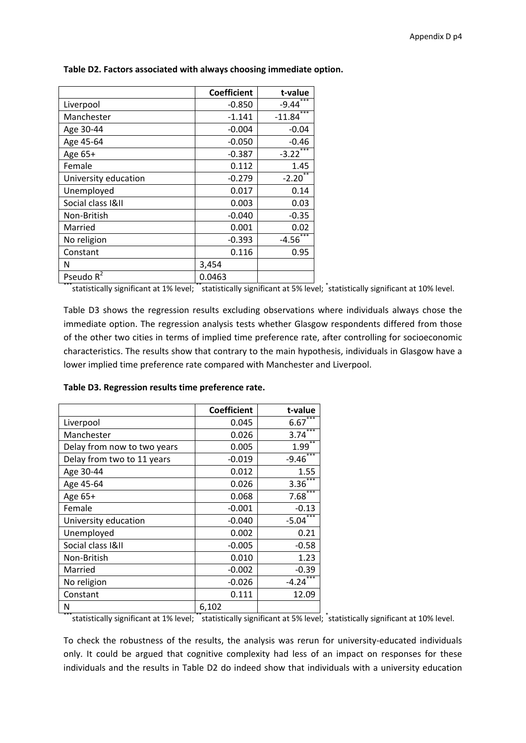|                      | <b>Coefficient</b> | t-value           |
|----------------------|--------------------|-------------------|
| Liverpool            | $-0.850$           | $-9.44$           |
| Manchester           | $-1.141$           | $***$<br>$-11.84$ |
| Age 30-44            | $-0.004$           | $-0.04$           |
| Age 45-64            | $-0.050$           | $-0.46$           |
| Age 65+              | $-0.387$           | $-3.22$           |
| Female               | 0.112              | 1.45              |
| University education | $-0.279$           | $-2.20$           |
| Unemployed           | 0.017              | 0.14              |
| Social class I&II    | 0.003              | 0.03              |
| Non-British          | $-0.040$           | $-0.35$           |
| Married              | 0.001              | 0.02              |
| No religion          | $-0.393$           | ***<br>$-4.56$    |
| Constant             | 0.116              | 0.95              |
| Ν                    | 3,454              |                   |
| Pseudo $R^2$         | 0.0463             |                   |

**Table D2. Factors associated with always choosing immediate option.**

\*\*\*statistically significant at 1% level; \*\*statistically significant at 5% level; \*statistically significant at 10% level.

Table D3 shows the regression results excluding observations where individuals always chose the immediate option. The regression analysis tests whether Glasgow respondents differed from those of the other two cities in terms of implied time preference rate, after controlling for socioeconomic characteristics. The results show that contrary to the main hypothesis, individuals in Glasgow have a lower implied time preference rate compared with Manchester and Liverpool.

#### **Table D3. Regression results time preference rate.**

|                             | <b>Coefficient</b> | t-value          |
|-----------------------------|--------------------|------------------|
| Liverpool                   | 0.045              | 6.67             |
| Manchester                  | 0.026              | ***<br>3.74      |
| Delay from now to two years | 0.005              | **<br>1.99       |
| Delay from two to 11 years  | $-0.019$           | $-9.46***$       |
| Age 30-44                   | 0.012              | 1.55             |
| Age 45-64                   | 0.026              | $3.36***$        |
| Age 65+                     | 0.068              | $7.68***$        |
| Female                      | $-0.001$           | $-0.13$          |
| University education        | $-0.040$           | $***$<br>$-5.04$ |
| Unemployed                  | 0.002              | 0.21             |
| Social class I&II           | $-0.005$           | $-0.58$          |
| Non-British                 | 0.010              | 1.23             |
| Married                     | $-0.002$           | $-0.39$          |
| No religion                 | $-0.026$           | $-4.24$          |
| Constant                    | 0.111              | 12.09            |
| Ν                           | 6,102              |                  |

\*\*\*statistically significant at 1% level; \*\*statistically significant at 5% level; \*statistically significant at 10% level.

To check the robustness of the results, the analysis was rerun for university‐educated individuals only. It could be argued that cognitive complexity had less of an impact on responses for these individuals and the results in Table D2 do indeed show that individuals with a university education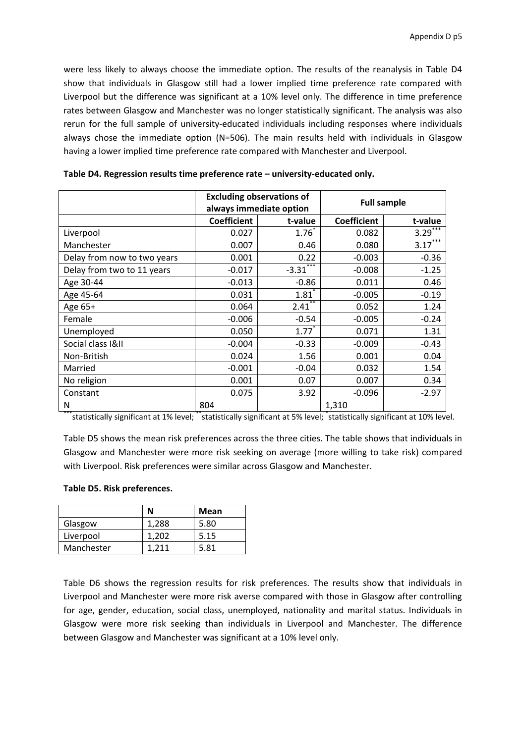were less likely to always choose the immediate option. The results of the reanalysis in Table D4 show that individuals in Glasgow still had a lower implied time preference rate compared with Liverpool but the difference was significant at a 10% level only. The difference in time preference rates between Glasgow and Manchester was no longer statistically significant. The analysis was also rerun for the full sample of university-educated individuals including responses where individuals always chose the immediate option (N=506). The main results held with individuals in Glasgow having a lower implied time preference rate compared with Manchester and Liverpool.

|                             | <b>Excluding observations of</b><br>always immediate option |                      | <b>Full sample</b> |                       |
|-----------------------------|-------------------------------------------------------------|----------------------|--------------------|-----------------------|
|                             | <b>Coefficient</b>                                          | t-value              | <b>Coefficient</b> | t-value               |
| Liverpool                   | 0.027                                                       | $1.76^{*}$           | 0.082              | $3.29$ <sup>***</sup> |
| Manchester                  | 0.007                                                       | 0.46                 | 0.080              | $3.17***$             |
| Delay from now to two years | 0.001                                                       | 0.22                 | $-0.003$           | $-0.36$               |
| Delay from two to 11 years  | $-0.017$                                                    | $-3.31$              | $-0.008$           | $-1.25$               |
| Age 30-44                   | $-0.013$                                                    | $-0.86$              | 0.011              | 0.46                  |
| Age 45-64                   | 0.031                                                       | $1.81$ <sup>2</sup>  | $-0.005$           | $-0.19$               |
| Age 65+                     | 0.064                                                       | $2.41$ <sup>**</sup> | 0.052              | 1.24                  |
| Female                      | $-0.006$                                                    | $-0.54$              | $-0.005$           | $-0.24$               |
| Unemployed                  | 0.050                                                       | $1.77*$              | 0.071              | 1.31                  |
| Social class I&II           | $-0.004$                                                    | $-0.33$              | $-0.009$           | $-0.43$               |
| Non-British                 | 0.024                                                       | 1.56                 | 0.001              | 0.04                  |
| Married                     | $-0.001$                                                    | $-0.04$              | 0.032              | 1.54                  |
| No religion                 | 0.001                                                       | 0.07                 | 0.007              | 0.34                  |
| Constant                    | 0.075                                                       | 3.92                 | $-0.096$           | $-2.97$               |
| N                           | 804                                                         |                      | 1,310              |                       |

**Table D4. Regression results time preference rate – university‐educated only.**

\*\*\*statistically significant at 1% level; \*\*statistically significant at 5% level; \*statistically significant at 10% level.

Table D5 shows the mean risk preferences across the three cities. The table shows that individuals in Glasgow and Manchester were more risk seeking on average (more willing to take risk) compared with Liverpool. Risk preferences were similar across Glasgow and Manchester.

# **Table D5. Risk preferences.**

|            | N     | Mean |
|------------|-------|------|
| Glasgow    | 1,288 | 5.80 |
| Liverpool  | 1.202 | 5.15 |
| Manchester | 1.211 | 5.81 |

Table D6 shows the regression results for risk preferences. The results show that individuals in Liverpool and Manchester were more risk averse compared with those in Glasgow after controlling for age, gender, education, social class, unemployed, nationality and marital status. Individuals in Glasgow were more risk seeking than individuals in Liverpool and Manchester. The difference between Glasgow and Manchester was significant at a 10% level only.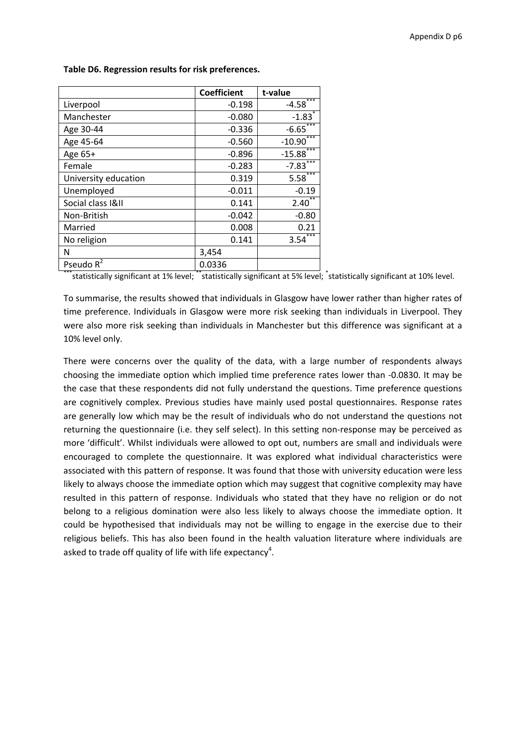|                      | <b>Coefficient</b> | t-value                |
|----------------------|--------------------|------------------------|
| Liverpool            | $-0.198$           | $-4.58$                |
| Manchester           | $-0.080$           | $-1.83$ <sup>*</sup>   |
| Age 30-44            | $-0.336$           | $-6.65$ <sup>***</sup> |
| Age 45-64            | $-0.560$           | ***<br>$-10.90$        |
| Age 65+              | $-0.896$           | $-15.88$               |
| Female               | $-0.283$           | $***$<br>$-7.83$       |
| University education | 0.319              | $5.58***$              |
| Unemployed           | $-0.011$           | $-0.19$                |
| Social class I&II    | 0.141              | 2.40                   |
| Non-British          | $-0.042$           | $-0.80$                |
| Married              | 0.008              | 0.21                   |
| No religion          | 0.141              | 3.54                   |
| N                    | 3,454              |                        |
| Pseudo $R^2$         | 0.0336             |                        |

#### **Table D6. Regression results for risk preferences.**

\*\*\*statistically significant at 1% level; \*\*statistically significant at 5% level; \*statistically significant at 10% level.

To summarise, the results showed that individuals in Glasgow have lower rather than higher rates of time preference. Individuals in Glasgow were more risk seeking than individuals in Liverpool. They were also more risk seeking than individuals in Manchester but this difference was significant at a 10% level only.

There were concerns over the quality of the data, with a large number of respondents always choosing the immediate option which implied time preference rates lower than ‐0.0830. It may be the case that these respondents did not fully understand the questions. Time preference questions are cognitively complex. Previous studies have mainly used postal questionnaires. Response rates are generally low which may be the result of individuals who do not understand the questions not returning the questionnaire (i.e. they self select). In this setting non-response may be perceived as more 'difficult'. Whilst individuals were allowed to opt out, numbers are small and individuals were encouraged to complete the questionnaire. It was explored what individual characteristics were associated with this pattern of response. It was found that those with university education were less likely to always choose the immediate option which may suggest that cognitive complexity may have resulted in this pattern of response. Individuals who stated that they have no religion or do not belong to a religious domination were also less likely to always choose the immediate option. It could be hypothesised that individuals may not be willing to engage in the exercise due to their religious beliefs. This has also been found in the health valuation literature where individuals are asked to trade off quality of life with life expectancy<sup>4</sup>.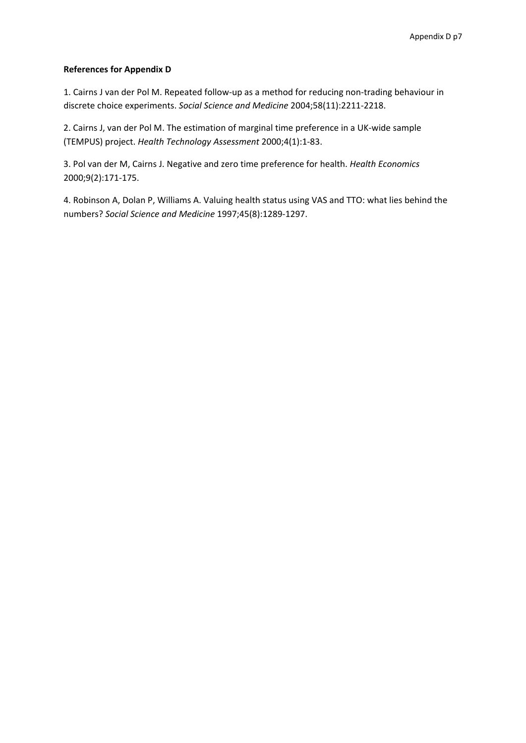# **References for Appendix D**

1. Cairns J van der Pol M. Repeated follow-up as a method for reducing non-trading behaviour in discrete choice experiments. *Social Science and Medicine* 2004;58(11):2211‐2218.

2. Cairns J, van der Pol M. The estimation of marginal time preference in a UK‐wide sample (TEMPUS) project. *Health Technology Assessment* 2000;4(1):1‐83.

3. Pol van der M, Cairns J. Negative and zero time preference for health. *Health Economics* 2000;9(2):171‐175.

4. Robinson A, Dolan P, Williams A. Valuing health status using VAS and TTO: what lies behind the numbers? *Social Science and Medicine* 1997;45(8):1289‐1297.